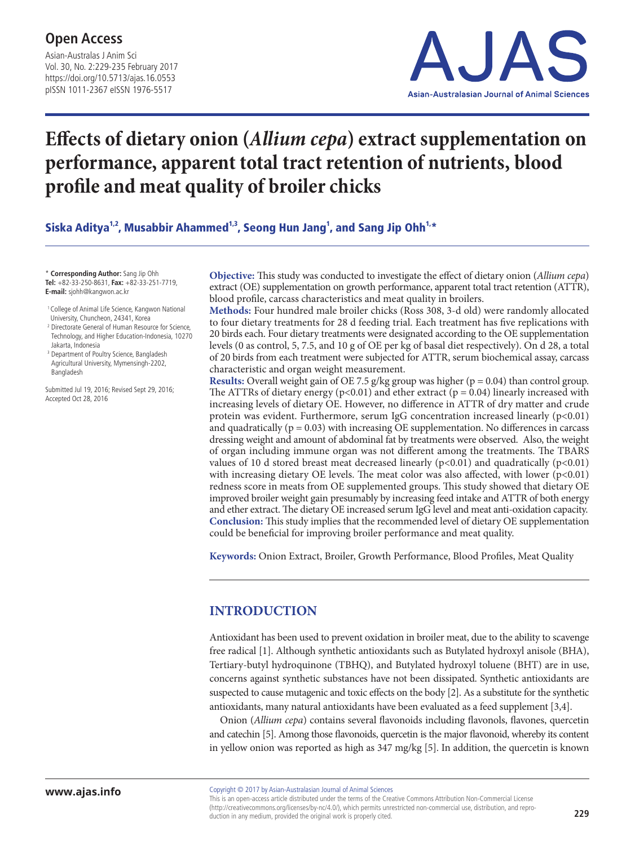Asian-Australas J Anim Sci Vol. 30, No. 2:229-235 February 2017 https://doi.org/10.5713/ajas.16.0553 pISSN 1011-2367 eISSN 1976-5517



# **Effects of dietary onion (***Allium cepa***) extract supplementation on performance, apparent total tract retention of nutrients, blood profile and meat quality of broiler chicks**

Siska Aditya $^{1,2}$ , Musabbir Ahammed $^{1,3}$ , Seong Hun Jang $^{1}$ , and Sang Jip Ohh $^{1,\ast}$ 

\* **Corresponding Author:** Sang Jip Ohh **Tel:** +82-33-250-8631, **Fax:** +82-33-251-7719, **E-mail:** sjohh@kangwon.ac.kr

- <sup>1</sup> College of Animal Life Science, Kangwon National University, Chuncheon, 24341, Korea
- <sup>2</sup> Directorate General of Human Resource for Science, Technology, and Higher Education-Indonesia, 10270 Jakarta, Indonesia
- <sup>3</sup> Department of Poultry Science, Bangladesh Agricultural University, Mymensingh-2202, Bangladesh

Submitted Jul 19, 2016; Revised Sept 29, 2016; Accepted Oct 28, 2016

**Objective:** This study was conducted to investigate the effect of dietary onion (*Allium cepa*) extract (OE) supplementation on growth performance, apparent total tract retention (ATTR), blood profile, carcass characteristics and meat quality in broilers.

**Methods:** Four hundred male broiler chicks (Ross 308, 3-d old) were randomly allocated to four dietary treatments for 28 d feeding trial. Each treatment has five replications with 20 birds each. Four dietary treatments were designated according to the OE supplementation levels (0 as control, 5, 7.5, and 10 g of OE per kg of basal diet respectively). On d 28, a total of 20 birds from each treatment were subjected for ATTR, serum biochemical assay, carcass characteristic and organ weight measurement.

**Results:** Overall weight gain of OE 7.5 g/kg group was higher ( $p = 0.04$ ) than control group. The ATTRs of dietary energy ( $p<0.01$ ) and ether extract ( $p = 0.04$ ) linearly increased with increasing levels of dietary OE. However, no difference in ATTR of dry matter and crude protein was evident. Furthermore, serum IgG concentration increased linearly  $(p<0.01)$ and quadratically ( $p = 0.03$ ) with increasing OE supplementation. No differences in carcass dressing weight and amount of abdominal fat by treatments were observed. Also, the weight of organ including immune organ was not different among the treatments. The TBARS values of 10 d stored breast meat decreased linearly  $(p<0.01)$  and quadratically  $(p<0.01)$ with increasing dietary OE levels. The meat color was also affected, with lower  $(p<0.01)$ redness score in meats from OE supplemented groups. This study showed that dietary OE improved broiler weight gain presumably by increasing feed intake and ATTR of both energy and ether extract. The dietary OE increased serum IgG level and meat anti-oxidation capacity. **Conclusion:** This study implies that the recommended level of dietary OE supplementation could be beneficial for improving broiler performance and meat quality.

**Keywords:** Onion Extract, Broiler, Growth Performance, Blood Profiles, Meat Quality

## **INTRODUCTION**

Antioxidant has been used to prevent oxidation in broiler meat, due to the ability to scavenge free radical [1]. Although synthetic antioxidants such as Butylated hydroxyl anisole (BHA), Tertiary-butyl hydroquinone (TBHQ), and Butylated hydroxyl toluene (BHT) are in use, concerns against synthetic substances have not been dissipated. Synthetic antioxidants are suspected to cause mutagenic and toxic effects on the body [2]. As a substitute for the synthetic antioxidants, many natural antioxidants have been evaluated as a feed supplement [3,4].

Onion (*Allium cepa*) contains several flavonoids including flavonols, flavones, quercetin and catechin [5]. Among those flavonoids, quercetin is the major flavonoid, whereby its content in yellow onion was reported as high as 347 mg/kg [5]. In addition, the quercetin is known

This is an open-access article distributed under the terms of the Creative Commons Attribution Non-Commercial License (http://creativecommons.org/licenses/by-nc/4.0/), which permits unrestricted non-commercial use, distribution, and reproduction in any medium, provided the original work is properly cited.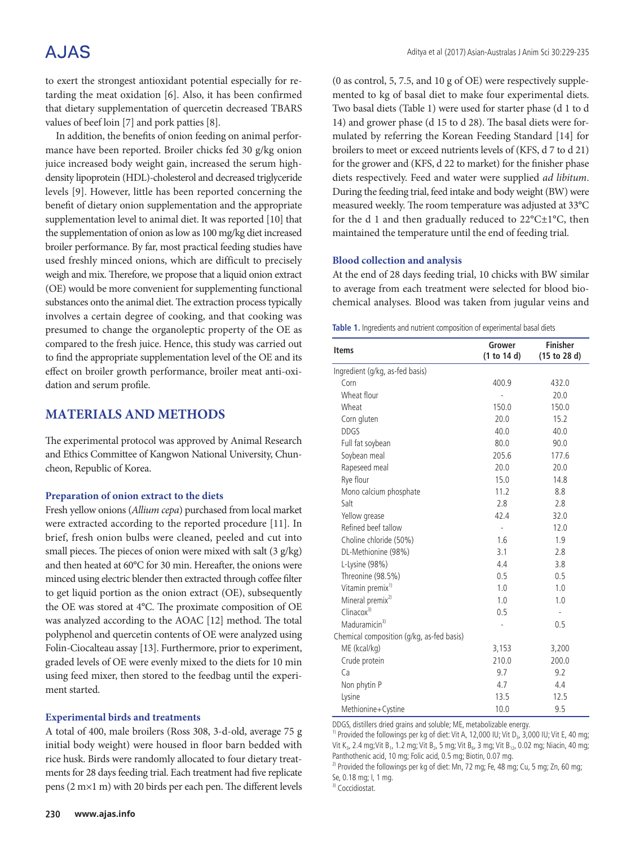## A.JAS

to exert the strongest antioxidant potential especially for retarding the meat oxidation [6]. Also, it has been confirmed that dietary supplementation of quercetin decreased TBARS values of beef loin [7] and pork patties [8].

In addition, the benefits of onion feeding on animal performance have been reported. Broiler chicks fed 30 g/kg onion juice increased body weight gain, increased the serum highdensity lipoprotein (HDL)-cholesterol and decreased triglyceride levels [9]. However, little has been reported concerning the benefit of dietary onion supplementation and the appropriate supplementation level to animal diet. It was reported [10] that the supplementation of onion as low as 100 mg/kg diet increased broiler performance. By far, most practical feeding studies have used freshly minced onions, which are difficult to precisely weigh and mix. Therefore, we propose that a liquid onion extract (OE) would be more convenient for supplementing functional substances onto the animal diet. The extraction process typically involves a certain degree of cooking, and that cooking was presumed to change the organoleptic property of the OE as compared to the fresh juice. Hence, this study was carried out to find the appropriate supplementation level of the OE and its effect on broiler growth performance, broiler meat anti-oxidation and serum profile.

### **MATERIALS AND METHODS**

The experimental protocol was approved by Animal Research and Ethics Committee of Kangwon National University, Chuncheon, Republic of Korea.

#### **Preparation of onion extract to the diets**

Fresh yellow onions (*Allium cepa*) purchased from local market were extracted according to the reported procedure [11]. In brief, fresh onion bulbs were cleaned, peeled and cut into small pieces. The pieces of onion were mixed with salt (3 g/kg) and then heated at 60°C for 30 min. Hereafter, the onions were minced using electric blender then extracted through coffee filter to get liquid portion as the onion extract (OE), subsequently the OE was stored at 4°C. The proximate composition of OE was analyzed according to the AOAC [12] method. The total polyphenol and quercetin contents of OE were analyzed using Folin-Ciocalteau assay [13]. Furthermore, prior to experiment, graded levels of OE were evenly mixed to the diets for 10 min using feed mixer, then stored to the feedbag until the experiment started.

#### **Experimental birds and treatments**

A total of 400, male broilers (Ross 308, 3-d-old, average 75 g initial body weight) were housed in floor barn bedded with rice husk. Birds were randomly allocated to four dietary treatments for 28 days feeding trial. Each treatment had five replicate pens (2 m×1 m) with 20 birds per each pen. The different levels

(0 as control, 5, 7.5, and 10 g of OE) were respectively supplemented to kg of basal diet to make four experimental diets. Two basal diets (Table 1) were used for starter phase (d 1 to d 14) and grower phase (d 15 to d 28). The basal diets were formulated by referring the Korean Feeding Standard [14] for broilers to meet or exceed nutrients levels of (KFS, d 7 to d 21) for the grower and (KFS, d 22 to market) for the finisher phase diets respectively. Feed and water were supplied *ad libitum*. During the feeding trial, feed intake and body weight (BW) were measured weekly. The room temperature was adjusted at 33°C for the d 1 and then gradually reduced to 22°C±1°C, then maintained the temperature until the end of feeding trial.

#### **Blood collection and analysis**

At the end of 28 days feeding trial, 10 chicks with BW similar to average from each treatment were selected for blood biochemical analyses. Blood was taken from jugular veins and

|  | Table 1. Ingredients and nutrient composition of experimental basal diets |  |
|--|---------------------------------------------------------------------------|--|
|  |                                                                           |  |

| <b>Items</b>                              | Grower<br>(1 to 14 d) | <b>Finisher</b><br>(15 to 28 d) |  |
|-------------------------------------------|-----------------------|---------------------------------|--|
| Ingredient (g/kg, as-fed basis)           |                       |                                 |  |
| Corn                                      | 400.9                 | 432.0                           |  |
| Wheat flour                               |                       | 20.0                            |  |
| Wheat                                     | 150.0                 | 150.0                           |  |
| Corn gluten                               | 20.0                  | 15.2                            |  |
| <b>DDGS</b>                               | 40.0                  | 40.0                            |  |
| Full fat soybean                          | 80.0                  | 90.0                            |  |
| Soybean meal                              | 205.6                 | 177.6                           |  |
| Rapeseed meal                             | 20.0                  | 20.0                            |  |
| Rye flour                                 | 15.0                  | 14.8                            |  |
| Mono calcium phosphate                    | 11.2                  | 8.8                             |  |
| Salt                                      | 2.8                   | 2.8                             |  |
| Yellow grease                             | 42.4                  | 32.0                            |  |
| Refined beef tallow                       | ÷                     | 12.0                            |  |
| Choline chloride (50%)                    | 1.6                   | 1.9                             |  |
| DL-Methionine (98%)                       | 3.1                   | 2.8                             |  |
| L-Lysine (98%)                            | 4.4                   | 3.8                             |  |
| Threonine (98.5%)                         | 0.5                   | 0.5                             |  |
| Vitamin premix <sup>1)</sup>              | 1.0                   | 1.0                             |  |
| Mineral premix <sup>2)</sup>              | 1.0                   | 1.0                             |  |
| $C$ linacox <sup>3)</sup>                 | 0.5                   |                                 |  |
| Maduramicin <sup>3)</sup>                 |                       | 0.5                             |  |
| Chemical composition (g/kg, as-fed basis) |                       |                                 |  |
| ME (kcal/kg)                              | 3,153                 | 3,200                           |  |
| Crude protein                             | 210.0                 | 200.0                           |  |
| Ca                                        | 9.7                   | 9.2                             |  |
| Non phytin P                              | 4.7                   | 4.4                             |  |
| Lysine                                    | 13.5                  | 12.5                            |  |
| Methionine+Cystine                        | 10.0                  | 9.5                             |  |

DDGS, distillers dried grains and soluble; ME, metabolizable energy.

<sup>1)</sup> Provided the followings per kg of diet: Vit A, 12,000 IU; Vit D<sub>3</sub>, 3,000 IU; Vit E, 40 mg; Vit K<sub>3</sub>, 2.4 mg; Vit B<sub>1</sub>, 1.2 mg; Vit B<sub>2</sub>, 5 mg; Vit B<sub>6</sub>, 3 mg; Vit B<sub>12</sub>, 0.02 mg; Niacin, 40 mg; Panthothenic acid, 10 mg; Folic acid, 0.5 mg; Biotin, 0.07 mg.

Se, 0.18 mg; I, 1 mg.

<sup>3)</sup> Coccidiostat.

<sup>&</sup>lt;sup>2)</sup> Provided the followings per kg of diet: Mn, 72 mg; Fe, 48 mg; Cu, 5 mg; Zn, 60 mg;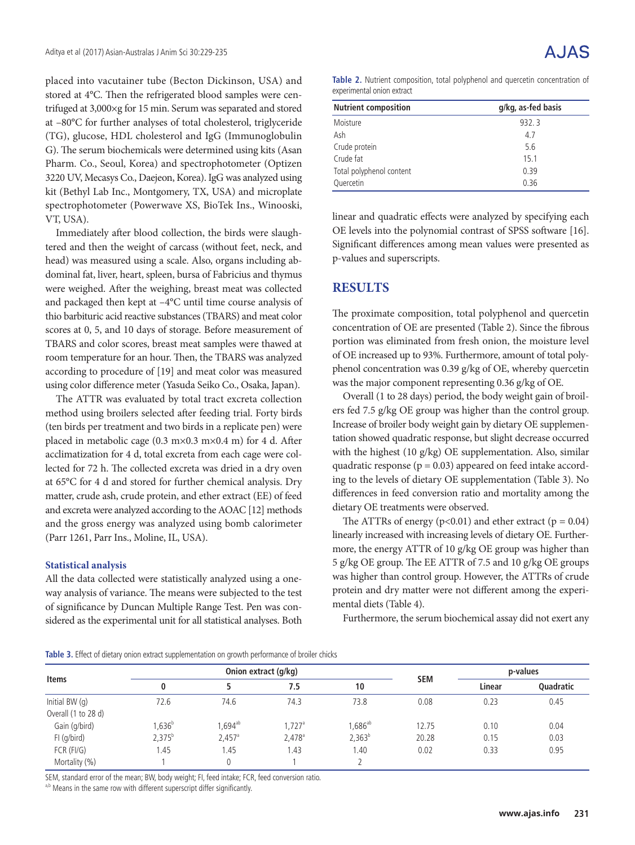placed into vacutainer tube (Becton Dickinson, USA) and stored at 4°C. Then the refrigerated blood samples were centrifuged at 3,000×g for 15 min. Serum was separated and stored at –80°C for further analyses of total cholesterol, triglyceride (TG), glucose, HDL cholesterol and IgG (Immunoglobulin G). The serum biochemicals were determined using kits (Asan Pharm. Co., Seoul, Korea) and spectrophotometer (Optizen 3220 UV, Mecasys Co., Daejeon, Korea). IgG was analyzed using kit (Bethyl Lab Inc., Montgomery, TX, USA) and microplate spectrophotometer (Powerwave XS, BioTek Ins., Winooski, VT, USA).

Immediately after blood collection, the birds were slaughtered and then the weight of carcass (without feet, neck, and head) was measured using a scale. Also, organs including abdominal fat, liver, heart, spleen, bursa of Fabricius and thymus were weighed. After the weighing, breast meat was collected and packaged then kept at –4°C until time course analysis of thio barbituric acid reactive substances (TBARS) and meat color scores at 0, 5, and 10 days of storage. Before measurement of TBARS and color scores, breast meat samples were thawed at room temperature for an hour. Then, the TBARS was analyzed according to procedure of [19] and meat color was measured using color difference meter (Yasuda Seiko Co., Osaka, Japan).

The ATTR was evaluated by total tract excreta collection method using broilers selected after feeding trial. Forty birds (ten birds per treatment and two birds in a replicate pen) were placed in metabolic cage (0.3 m×0.3 m×0.4 m) for 4 d. After acclimatization for 4 d, total excreta from each cage were collected for 72 h. The collected excreta was dried in a dry oven at 65°C for 4 d and stored for further chemical analysis. Dry matter, crude ash, crude protein, and ether extract (EE) of feed and excreta were analyzed according to the AOAC [12] methods and the gross energy was analyzed using bomb calorimeter (Parr 1261, Parr Ins., Moline, IL, USA).

#### **Statistical analysis**

All the data collected were statistically analyzed using a oneway analysis of variance. The means were subjected to the test of significance by Duncan Multiple Range Test. Pen was considered as the experimental unit for all statistical analyses. Both

**Table 2.** Nutrient composition, total polyphenol and quercetin concentration of experimental onion extract

| <b>Nutrient composition</b> | g/kg, as-fed basis |
|-----------------------------|--------------------|
| Moisture                    | 932.3              |
| Ash                         | 4.7                |
| Crude protein               | 5.6                |
| Crude fat                   | 15.1               |
| Total polyphenol content    | 0.39               |
| Quercetin                   | 0.36               |

linear and quadratic effects were analyzed by specifying each OE levels into the polynomial contrast of SPSS software [16]. Significant differences among mean values were presented as p-values and superscripts.

### **RESULTS**

The proximate composition, total polyphenol and quercetin concentration of OE are presented (Table 2). Since the fibrous portion was eliminated from fresh onion, the moisture level of OE increased up to 93%. Furthermore, amount of total polyphenol concentration was 0.39 g/kg of OE, whereby quercetin was the major component representing 0.36 g/kg of OE.

Overall (1 to 28 days) period, the body weight gain of broilers fed 7.5 g/kg OE group was higher than the control group. Increase of broiler body weight gain by dietary OE supplementation showed quadratic response, but slight decrease occurred with the highest (10 g/kg) OE supplementation. Also, similar quadratic response ( $p = 0.03$ ) appeared on feed intake according to the levels of dietary OE supplementation (Table 3). No differences in feed conversion ratio and mortality among the dietary OE treatments were observed.

The ATTRs of energy ( $p < 0.01$ ) and ether extract ( $p = 0.04$ ) linearly increased with increasing levels of dietary OE. Furthermore, the energy ATTR of 10 g/kg OE group was higher than 5 g/kg OE group. The EE ATTR of 7.5 and 10 g/kg OE groups was higher than control group. However, the ATTRs of crude protein and dry matter were not different among the experimental diets (Table 4).

Furthermore, the serum biochemical assay did not exert any

**Table 3.** Effect of dietary onion extract supplementation on growth performance of broiler chicks

|                     |             |                 | Onion extract (g/kg) |              | p-values   |        |                  |
|---------------------|-------------|-----------------|----------------------|--------------|------------|--------|------------------|
| <b>Items</b>        | 0           |                 | 7.5                  | 10           | <b>SEM</b> | Linear | <b>Ouadratic</b> |
| Initial BW (q)      | 72.6        | 74.6            | 74.3                 | 73.8         | 0.08       | 0.23   | 0.45             |
| Overall (1 to 28 d) |             |                 |                      |              |            |        |                  |
| Gain (g/bird)       | $1,636^b$   | $,694^{ab}$     | $1,727$ <sup>a</sup> | $1,686^{ab}$ | 12.75      | 0.10   | 0.04             |
| FI (g/bird)         | $2.375^{b}$ | $2,457^{\circ}$ | 2.478 <sup>a</sup>   | $2,363^{b}$  | 20.28      | 0.15   | 0.03             |
| $FCR$ ( $FI/G$ )    | 1.45        | l.45            | .43                  | .40          | 0.02       | 0.33   | 0.95             |
| Mortality (%)       |             | 0               |                      |              |            |        |                  |

SEM, standard error of the mean; BW, body weight; FI, feed intake; FCR, feed conversion ratio.

a,b Means in the same row with different superscript differ significantly.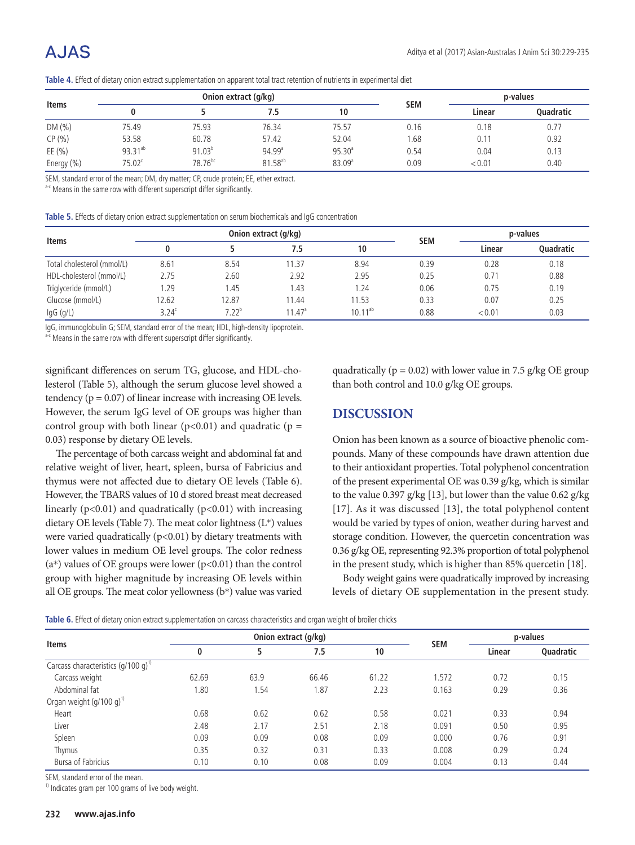| <b>Items</b> |                     |                     | Onion extract (g/kg) |                    | p-values<br><b>SEM</b> |        |                  |
|--------------|---------------------|---------------------|----------------------|--------------------|------------------------|--------|------------------|
|              |                     |                     | 7.5                  | 10                 |                        | Linear | <b>Ouadratic</b> |
| DM(%)        | 75.49               | 75.93               | 76.34                | 75.57              | 0.16                   | 0.18   | 0.77             |
| CP(%)        | 53.58               | 60.78               | 57.42                | 52.04              | 1.68                   | 0.11   | 0.92             |
| EE $(\% )$   | 93.31 <sup>ab</sup> | $91.03^{b}$         | $94.99$ <sup>a</sup> | 95.30 <sup>a</sup> | 0.54                   | 0.04   | 0.13             |
| Energy (%)   | $75.02^c$           | 78.76 <sup>bc</sup> | 81.58 <sup>ab</sup>  | 83.09 <sup>a</sup> | 0.09                   | < 0.01 | 0.40             |

**Table 4.** Effect of dietary onion extract supplementation on apparent total tract retention of nutrients in experimental diet

SEM, standard error of the mean; DM, dry matter; CP, crude protein; EE, ether extract.

a-c Means in the same row with different superscript differ significantly.

|  |  |  | Table 5. Effects of dietary onion extract supplementation on serum biochemicals and IgG concentration |  |
|--|--|--|-------------------------------------------------------------------------------------------------------|--|
|--|--|--|-------------------------------------------------------------------------------------------------------|--|

|                            |                   |            | Onion extract (g/kg) |              | p-values<br><b>SEM</b> |        |                  |
|----------------------------|-------------------|------------|----------------------|--------------|------------------------|--------|------------------|
| <b>Items</b>               |                   |            | 7.5                  | 10           |                        | Linear | <b>Ouadratic</b> |
| Total cholesterol (mmol/L) | 8.61              | 8.54       | 11.37                | 8.94         | 0.39                   | 0.28   | 0.18             |
| HDL-cholesterol (mmol/L)   | 2.75              | 2.60       | 2.92                 | 2.95         | 0.25                   | 0.71   | 0.88             |
| Triglyceride (mmol/L)      | .29               | 1.45       | 1.43                 | 1.24         | 0.06                   | 0.75   | 0.19             |
| Glucose (mmol/L)           | 2.62              | 12.87      | 11.44                | 11.53        | 0.33                   | 0.07   | 0.25             |
| $lgG$ (g/L)                | 3.24 <sup>c</sup> | $7.22^{b}$ | $11.47^{\circ}$      | $10.11^{ab}$ | 0.88                   | < 0.01 | 0.03             |

IgG, immunoglobulin G; SEM, standard error of the mean; HDL, high-density lipoprotein.

a-c Means in the same row with different superscript differ significantly.

significant differences on serum TG, glucose, and HDL-cholesterol (Table 5), although the serum glucose level showed a tendency ( $p = 0.07$ ) of linear increase with increasing OE levels. However, the serum IgG level of OE groups was higher than control group with both linear ( $p$ <0.01) and quadratic ( $p =$ 0.03) response by dietary OE levels.

The percentage of both carcass weight and abdominal fat and relative weight of liver, heart, spleen, bursa of Fabricius and thymus were not affected due to dietary OE levels (Table 6). However, the TBARS values of 10 d stored breast meat decreased linearly  $(p<0.01)$  and quadratically  $(p<0.01)$  with increasing dietary OE levels (Table 7). The meat color lightness  $(L^*)$  values were varied quadratically  $(p<0.01)$  by dietary treatments with lower values in medium OE level groups. The color redness  $(a*)$  values of OE groups were lower  $(p<0.01)$  than the control group with higher magnitude by increasing OE levels within all OE groups. The meat color yellowness (b\*) value was varied quadratically ( $p = 0.02$ ) with lower value in 7.5 g/kg OE group than both control and 10.0 g/kg OE groups.

### **DISCUSSION**

Onion has been known as a source of bioactive phenolic compounds. Many of these compounds have drawn attention due to their antioxidant properties. Total polyphenol concentration of the present experimental OE was 0.39 g/kg, which is similar to the value 0.397 g/kg [13], but lower than the value 0.62 g/kg [17]. As it was discussed [13], the total polyphenol content would be varied by types of onion, weather during harvest and storage condition. However, the quercetin concentration was 0.36 g/kg OE, representing 92.3% proportion of total polyphenol in the present study, which is higher than 85% quercetin [18].

Body weight gains were quadratically improved by increasing levels of dietary OE supplementation in the present study.

**Table 6.** Effect of dietary onion extract supplementation on carcass characteristics and organ weight of broiler chicks

|                                           |       |      | Onion extract (g/kg)<br><b>SEM</b> |       |       |        | p-values  |
|-------------------------------------------|-------|------|------------------------------------|-------|-------|--------|-----------|
| <b>Items</b>                              | 0     | 5    | 7.5                                | 10    |       | Linear | Quadratic |
| Carcass characteristics $(q/100 q)^{1/2}$ |       |      |                                    |       |       |        |           |
| Carcass weight                            | 62.69 | 63.9 | 66.46                              | 61.22 | 1.572 | 0.72   | 0.15      |
| Abdominal fat                             | .80   | 1.54 | 1.87                               | 2.23  | 0.163 | 0.29   | 0.36      |
| Organ weight $(q/100 q)^{1}$              |       |      |                                    |       |       |        |           |
| Heart                                     | 0.68  | 0.62 | 0.62                               | 0.58  | 0.021 | 0.33   | 0.94      |
| Liver                                     | 2.48  | 2.17 | 2.51                               | 2.18  | 0.091 | 0.50   | 0.95      |
| Spleen                                    | 0.09  | 0.09 | 0.08                               | 0.09  | 0.000 | 0.76   | 0.91      |
| Thymus                                    | 0.35  | 0.32 | 0.31                               | 0.33  | 0.008 | 0.29   | 0.24      |
| Bursa of Fabricius                        | 0.10  | 0.10 | 0.08                               | 0.09  | 0.004 | 0.13   | 0.44      |

SEM, standard error of the mean.

<sup>1)</sup> Indicates gram per 100 grams of live body weight.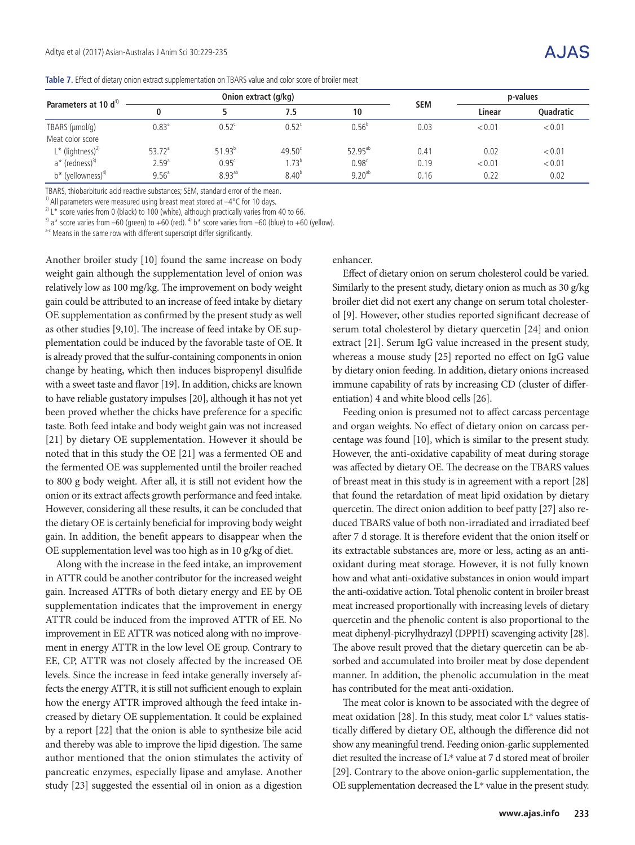$A. IAS$ 

|  |  |  |  | Table 7. Effect of dietary onion extract supplementation on TBARS value and color score of broiler meat |
|--|--|--|--|---------------------------------------------------------------------------------------------------------|
|--|--|--|--|---------------------------------------------------------------------------------------------------------|

| Parameters at 10 d <sup>1)</sup> |                      |                | Onion extract (g/kg) |                   | p-values<br><b>SEM</b> |        |                  |
|----------------------------------|----------------------|----------------|----------------------|-------------------|------------------------|--------|------------------|
|                                  |                      |                | 7.5                  | 10                |                        | Linear | <b>Ouadratic</b> |
| TBARS (µmol/q)                   | 0.83 <sup>a</sup>    | $0.52^{\circ}$ | $0.52^{\circ}$       | $0.56^{b}$        | 0.03                   | < 0.01 | < 0.01           |
| Meat color score                 |                      |                |                      |                   |                        |        |                  |
| $L^*$ (lightness) <sup>2)</sup>  | $53.72$ <sup>a</sup> | $51.93^{b}$    | $49.50^{\circ}$      | $52.95^{ab}$      | 0.41                   | 0.02   | < 0.01           |
| a* (redness) <sup>3)</sup>       | 2.59 <sup>a</sup>    | $0.95^{\circ}$ | $1.73^{b}$           | 0.98 <sup>c</sup> | 0.19                   | < 0.01 | < 0.01           |
| $b^*$ (yellowness) <sup>4)</sup> | 9.56 <sup>a</sup>    | $8.93^{ab}$    | 8.40 <sup>b</sup>    | $9.20^{ab}$       | 0.16                   | 0.22   | 0.02             |

TBARS, thiobarbituric acid reactive substances; SEM, standard error of the mean.

<sup>1)</sup> All parameters were measured using breast meat stored at  $-4^{\circ}$ C for 10 days.

<sup>2)</sup> L<sup>\*</sup> score varies from 0 (black) to 100 (white), although practically varies from 40 to 66.

 $3$ ) a\* score varies from –60 (green) to +60 (red).  $4$ ) b\* score varies from –60 (blue) to +60 (yellow).

a-c Means in the same row with different superscript differ significantly.

Another broiler study [10] found the same increase on body weight gain although the supplementation level of onion was relatively low as 100 mg/kg. The improvement on body weight gain could be attributed to an increase of feed intake by dietary OE supplementation as confirmed by the present study as well as other studies [9,10]. The increase of feed intake by OE supplementation could be induced by the favorable taste of OE. It is already proved that the sulfur-containing components in onion change by heating, which then induces bispropenyl disulfide with a sweet taste and flavor [19]. In addition, chicks are known to have reliable gustatory impulses [20], although it has not yet been proved whether the chicks have preference for a specific taste. Both feed intake and body weight gain was not increased [21] by dietary OE supplementation. However it should be noted that in this study the OE [21] was a fermented OE and the fermented OE was supplemented until the broiler reached to 800 g body weight. After all, it is still not evident how the onion or its extract affects growth performance and feed intake. However, considering all these results, it can be concluded that the dietary OE is certainly beneficial for improving body weight gain. In addition, the benefit appears to disappear when the OE supplementation level was too high as in 10 g/kg of diet.

Along with the increase in the feed intake, an improvement in ATTR could be another contributor for the increased weight gain. Increased ATTRs of both dietary energy and EE by OE supplementation indicates that the improvement in energy ATTR could be induced from the improved ATTR of EE. No improvement in EE ATTR was noticed along with no improvement in energy ATTR in the low level OE group. Contrary to EE, CP, ATTR was not closely affected by the increased OE levels. Since the increase in feed intake generally inversely affects the energy ATTR, it is still not sufficient enough to explain how the energy ATTR improved although the feed intake increased by dietary OE supplementation. It could be explained by a report [22] that the onion is able to synthesize bile acid and thereby was able to improve the lipid digestion. The same author mentioned that the onion stimulates the activity of pancreatic enzymes, especially lipase and amylase. Another study [23] suggested the essential oil in onion as a digestion

enhancer.

Effect of dietary onion on serum cholesterol could be varied. Similarly to the present study, dietary onion as much as 30 g/kg broiler diet did not exert any change on serum total cholesterol [9]. However, other studies reported significant decrease of serum total cholesterol by dietary quercetin [24] and onion extract [21]. Serum IgG value increased in the present study, whereas a mouse study [25] reported no effect on IgG value by dietary onion feeding. In addition, dietary onions increased immune capability of rats by increasing CD (cluster of differentiation) 4 and white blood cells [26].

Feeding onion is presumed not to affect carcass percentage and organ weights. No effect of dietary onion on carcass percentage was found [10], which is similar to the present study. However, the anti-oxidative capability of meat during storage was affected by dietary OE. The decrease on the TBARS values of breast meat in this study is in agreement with a report [28] that found the retardation of meat lipid oxidation by dietary quercetin. The direct onion addition to beef patty [27] also reduced TBARS value of both non-irradiated and irradiated beef after 7 d storage. It is therefore evident that the onion itself or its extractable substances are, more or less, acting as an antioxidant during meat storage. However, it is not fully known how and what anti-oxidative substances in onion would impart the anti-oxidative action. Total phenolic content in broiler breast meat increased proportionally with increasing levels of dietary quercetin and the phenolic content is also proportional to the meat diphenyl-picrylhydrazyl (DPPH) scavenging activity [28]. The above result proved that the dietary quercetin can be absorbed and accumulated into broiler meat by dose dependent manner. In addition, the phenolic accumulation in the meat has contributed for the meat anti-oxidation.

The meat color is known to be associated with the degree of meat oxidation [28]. In this study, meat color L\* values statistically differed by dietary OE, although the difference did not show any meaningful trend. Feeding onion-garlic supplemented diet resulted the increase of L\* value at 7 d stored meat of broiler [29]. Contrary to the above onion-garlic supplementation, the OE supplementation decreased the L\* value in the present study.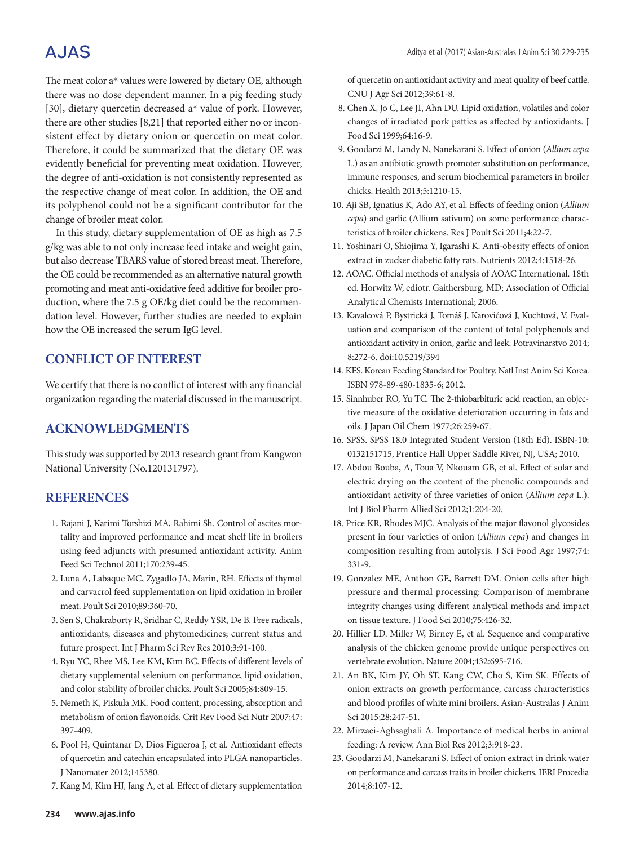# **AJAS**

The meat color a\* values were lowered by dietary OE, although there was no dose dependent manner. In a pig feeding study [30], dietary quercetin decreased a\* value of pork. However, there are other studies [8,21] that reported either no or inconsistent effect by dietary onion or quercetin on meat color. Therefore, it could be summarized that the dietary OE was evidently beneficial for preventing meat oxidation. However, the degree of anti-oxidation is not consistently represented as the respective change of meat color. In addition, the OE and its polyphenol could not be a significant contributor for the change of broiler meat color.

In this study, dietary supplementation of OE as high as 7.5 g/kg was able to not only increase feed intake and weight gain, but also decrease TBARS value of stored breast meat. Therefore, the OE could be recommended as an alternative natural growth promoting and meat anti-oxidative feed additive for broiler production, where the 7.5 g OE/kg diet could be the recommendation level. However, further studies are needed to explain how the OE increased the serum IgG level.

## **CONFLICT OF INTEREST**

We certify that there is no conflict of interest with any financial organization regarding the material discussed in the manuscript.

## **ACKNOWLEDGMENTS**

This study was supported by 2013 research grant from Kangwon National University (No.120131797).

## **REFERENCES**

- 1. Rajani J, Karimi Torshizi MA, Rahimi Sh. Control of ascites mortality and improved performance and meat shelf life in broilers using feed adjuncts with presumed antioxidant activity. Anim Feed Sci Technol 2011;170:239-45.
- 2. Luna A, Labaque MC, Zygadlo JA, Marin, RH. Effects of thymol and carvacrol feed supplementation on lipid oxidation in broiler meat. Poult Sci 2010;89:360-70.
- 3. Sen S, Chakraborty R, Sridhar C, Reddy YSR, De B. Free radicals, antioxidants, diseases and phytomedicines; current status and future prospect. Int J Pharm Sci Rev Res 2010;3:91-100.
- 4. Ryu YC, Rhee MS, Lee KM, Kim BC. Effects of different levels of dietary supplemental selenium on performance, lipid oxidation, and color stability of broiler chicks. Poult Sci 2005;84:809-15.
- 5. Nemeth K, Piskula MK. Food content, processing, absorption and metabolism of onion flavonoids. Crit Rev Food Sci Nutr 2007;47: 397-409.
- 6. Pool H, Quintanar D, Dios Figueroa J, et al. Antioxidant effects of quercetin and catechin encapsulated into PLGA nanoparticles. J Nanomater 2012;145380.
- 7. Kang M, Kim HJ, Jang A, et al. Effect of dietary supplementation

of quercetin on antioxidant activity and meat quality of beef cattle. CNU J Agr Sci 2012;39:61-8.

- 8. Chen X, Jo C, Lee JI, Ahn DU. Lipid oxidation, volatiles and color changes of irradiated pork patties as affected by antioxidants. J Food Sci 1999;64:16-9.
- 9. Goodarzi M, Landy N, Nanekarani S. Effect of onion (*Allium cepa* L.) as an antibiotic growth promoter substitution on performance, immune responses, and serum biochemical parameters in broiler chicks. Health 2013;5:1210-15.
- 10. Aji SB, Ignatius K, Ado AY, et al. Effects of feeding onion (*Allium cepa*) and garlic (Allium sativum) on some performance characteristics of broiler chickens. Res J Poult Sci 2011;4:22-7.
- 11. Yoshinari O, Shiojima Y, Igarashi K. Anti-obesity effects of onion extract in zucker diabetic fatty rats. Nutrients 2012;4:1518-26.
- 12. AOAC. Official methods of analysis of AOAC International. 18th ed. Horwitz W, ediotr. Gaithersburg, MD; Association of Official Analytical Chemists International; 2006.
- 13. Kavalcová P, Bystrická J, Tomáš J, Karovičová J, Kuchtová, V. Evaluation and comparison of the content of total polyphenols and antioxidant activity in onion, garlic and leek. Potravinarstvo 2014; 8:272-6. doi:10.5219/394
- 14. KFS. Korean Feeding Standard for Poultry. Natl Inst Anim Sci Korea. ISBN 978-89-480-1835-6; 2012.
- 15. Sinnhuber RO, Yu TC. The 2-thiobarbituric acid reaction, an objective measure of the oxidative deterioration occurring in fats and oils. J Japan Oil Chem 1977;26:259-67.
- 16. SPSS. SPSS 18.0 Integrated Student Version (18th Ed). ISBN-10: 0132151715, Prentice Hall Upper Saddle River, NJ, USA; 2010.
- 17. Abdou Bouba, A, Toua V, Nkouam GB, et al. Effect of solar and electric drying on the content of the phenolic compounds and antioxidant activity of three varieties of onion (*Allium cepa* L.). Int J Biol Pharm Allied Sci 2012;1:204-20.
- 18. Price KR, Rhodes MJC. Analysis of the major flavonol glycosides present in four varieties of onion (*Allium cepa*) and changes in composition resulting from autolysis. J Sci Food Agr 1997;74: 331-9.
- 19. Gonzalez ME, Anthon GE, Barrett DM. Onion cells after high pressure and thermal processing: Comparison of membrane integrity changes using different analytical methods and impact on tissue texture. J Food Sci 2010;75:426-32.
- 20. Hillier LD. Miller W, Birney E, et al. Sequence and comparative analysis of the chicken genome provide unique perspectives on vertebrate evolution. Nature 2004;432:695-716.
- 21. An BK, Kim JY, Oh ST, Kang CW, Cho S, Kim SK. Effects of onion extracts on growth performance, carcass characteristics and blood profiles of white mini broilers. Asian-Australas J Anim Sci 2015;28:247-51.
- 22. Mirzaei-Aghsaghali A. Importance of medical herbs in animal feeding: A review. Ann Biol Res 2012;3:918-23.
- 23. Goodarzi M, Nanekarani S. Effect of onion extract in drink water on performance and carcass traits in broiler chickens. IERI Procedia 2014;8:107-12.